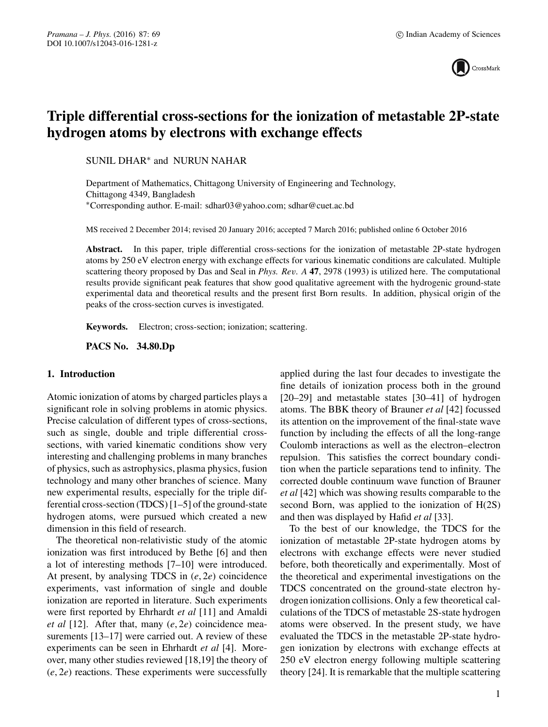

# **Triple differential cross-sections for the ionization of metastable 2P-state hydrogen atoms by electrons with exchange effects**

SUNIL DHAR∗ and NURUN NAHAR

Department of Mathematics, Chittagong University of Engineering and Technology, Chittagong 4349, Bangladesh ∗Corresponding author. E-mail: sdhar03@yahoo.com; sdhar@cuet.ac.bd

MS received 2 December 2014; revised 20 January 2016; accepted 7 March 2016; published online 6 October 2016

Abstract. In this paper, triple differential cross-sections for the ionization of metastable 2P-state hydrogen atoms by 250 eV electron energy with exchange effects for various kinematic conditions are calculated. Multiple scattering theory proposed by Das and Seal in *Phys. Re*v*. A* **<sup>47</sup>**, 2978 (1993) is utilized here. The computational results provide significant peak features that show good qualitative agreement with the hydrogenic ground-state experimental data and theoretical results and the present first Born results. In addition, physical origin of the peaks of the cross-section curves is investigated.

**Keywords.** Electron; cross-section; ionization; scattering.

**PACS No. 34.80.Dp**

## **1. Introduction**

Atomic ionization of atoms by charged particles plays a significant role in solving problems in atomic physics. Precise calculation of different types of cross-sections, such as single, double and triple differential crosssections, with varied kinematic conditions show very interesting and challenging problems in many branches of physics, such as astrophysics, plasma physics, fusion technology and many other branches of science. Many new experimental results, especially for the triple differential cross-section (TDCS) [1–5] of the ground-state hydrogen atoms, were pursued which created a new dimension in this field of research.

The theoretical non-relativistic study of the atomic ionization was first introduced by Bethe [6] and then a lot of interesting methods [7–10] were introduced. At present, by analysing TDCS in (*e*, 2*e*) coincidence experiments, vast information of single and double ionization are reported in literature. Such experiments were first reported by Ehrhardt *et al* [11] and Amaldi *et al* [12]. After that, many (*e*, 2*e*) coincidence measurements [13–17] were carried out. A review of these experiments can be seen in Ehrhardt *et al* [4]. Moreover, many other studies reviewed [18,19] the theory of (*e*, 2*e*) reactions. These experiments were successfully applied during the last four decades to investigate the fine details of ionization process both in the ground [20–29] and metastable states [30–41] of hydrogen atoms. The BBK theory of Brauner *et al* [42] focussed its attention on the improvement of the final-state wave function by including the effects of all the long-range Coulomb interactions as well as the electron–electron repulsion. This satisfies the correct boundary condition when the particle separations tend to infinity. The corrected double continuum wave function of Brauner *et al* [42] which was showing results comparable to the second Born, was applied to the ionization of H(2S) and then was displayed by Hafid *et al* [33].

To the best of our knowledge, the TDCS for the ionization of metastable 2P-state hydrogen atoms by electrons with exchange effects were never studied before, both theoretically and experimentally. Most of the theoretical and experimental investigations on the TDCS concentrated on the ground-state electron hydrogen ionization collisions. Only a few theoretical calculations of the TDCS of metastable 2S-state hydrogen atoms were observed. In the present study, we have evaluated the TDCS in the metastable 2P-state hydrogen ionization by electrons with exchange effects at 250 eV electron energy following multiple scattering theory [24]. It is remarkable that the multiple scattering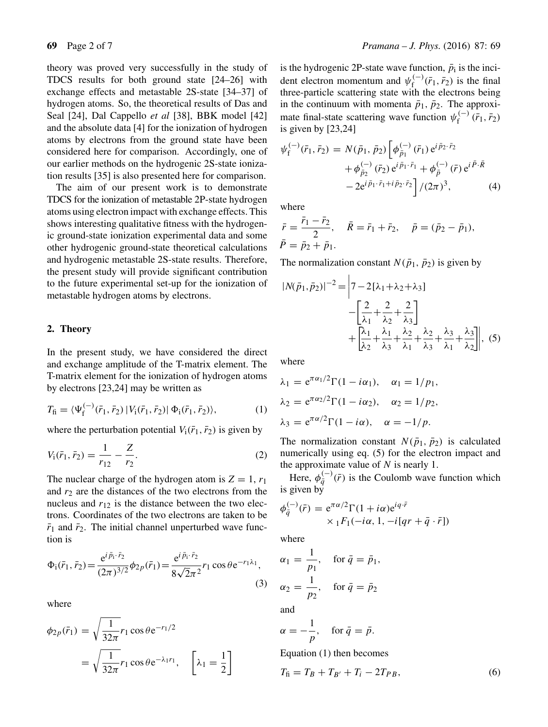theory was proved very successfully in the study of TDCS results for both ground state [24–26] with exchange effects and metastable 2S-state [34–37] of hydrogen atoms. So, the theoretical results of Das and Seal [24], Dal Cappello *et al* [38], BBK model [42] and the absolute data [4] for the ionization of hydrogen atoms by electrons from the ground state have been considered here for comparison. Accordingly, one of our earlier methods on the hydrogenic 2S-state ionization results [35] is also presented here for comparison.

The aim of our present work is to demonstrate TDCS for the ionization of metastable 2P-state hydrogen atoms using electron impact with exchange effects. This shows interesting qualitative fitness with the hydrogenic ground-state ionization experimental data and some other hydrogenic ground-state theoretical calculations and hydrogenic metastable 2S-state results. Therefore, the present study will provide significant contribution to the future experimental set-up for the ionization of metastable hydrogen atoms by electrons.

### **2. Theory**

In the present study, we have considered the direct and exchange amplitude of the T-matrix element. The T-matrix element for the ionization of hydrogen atoms by electrons [23,24] may be written as

$$
T_{\rm fi} = \langle \Psi_{\rm f}^{(-)}(\bar{r}_1, \bar{r}_2) | V_{\rm i}(\bar{r}_1, \bar{r}_2) | \Phi_{\rm i}(\bar{r}_1, \bar{r}_2) \rangle, \tag{1}
$$

where the perturbation potential  $V_1(\bar{r}_1,\bar{r}_2)$  is given by

$$
V_1(\bar{r}_1, \bar{r}_2) = \frac{1}{r_{12}} - \frac{Z}{r_2}.
$$
 (2)

The nuclear charge of the hydrogen atom is  $Z = 1, r_1$ and  $r_2$  are the distances of the two electrons from the nucleus and  $r_{12}$  is the distance between the two electrons. Coordinates of the two electrons are taken to be  $\bar{r}_1$  and  $\bar{r}_2$ . The initial channel unperturbed wave function is

$$
\Phi_{\rm i}(\bar{r}_1, \bar{r}_2) = \frac{e^{i\,\bar{p}_1 \cdot \bar{r}_2}}{(2\pi)^{3/2}} \phi_{2p}(\bar{r}_1) = \frac{e^{i\,\bar{p}_1 \cdot \bar{r}_2}}{8\sqrt{2}\pi^2} r_1 \cos \theta e^{-r_1 \lambda_1},\tag{3}
$$

where

$$
\phi_{2p}(\bar{r}_1) = \sqrt{\frac{1}{32\pi}} r_1 \cos \theta e^{-r_1/2}
$$
  
=  $\sqrt{\frac{1}{32\pi}} r_1 \cos \theta e^{-\lambda_1 r_1}, \quad \left[\lambda_1 = \frac{1}{2}\right]$ 

is the hydrogenic 2P-state wave function,  $\bar{p}_i$  is the incident electron momentum and  $\psi_f^{(-)}(\bar{r}_1, \bar{r}_2)$  is the final three-particle scattering state with the electrons being in the continuum with momenta  $\bar{p}_1$ ,  $\bar{p}_2$ . The approximate final-state scattering wave function  $\psi_f^{(-)}(\bar{r}_1, \bar{r}_2)$ <br>is given by [23.24] is given by [23,24]

$$
\psi_{f}^{(-)}(\bar{r}_{1},\bar{r}_{2}) = N(\bar{p}_{1},\bar{p}_{2}) \left[ \phi_{\bar{p}_{1}}^{(-)}(\bar{r}_{1}) e^{i\bar{p}_{2}\cdot\bar{r}_{2}} + \phi_{\bar{p}_{2}}^{(-)}(\bar{r}_{2}) e^{i\bar{p}_{1}\cdot\bar{r}_{1}} + \phi_{\bar{p}}^{(-)}(\bar{r}) e^{i\bar{P}\cdot\bar{R}} - 2 e^{i\bar{p}_{1}\cdot\bar{r}_{1} + i\bar{p}_{2}\cdot\bar{r}_{2}} \right] / (2\pi)^{3}, \tag{4}
$$

where

$$
\begin{aligned}\n\bar{r} &= \frac{\bar{r}_1 - \bar{r}_2}{2}, & \quad \bar{R} &= \bar{r}_1 + \bar{r}_2, & \quad \bar{p} &= (\bar{p}_2 - \bar{p}_1), \\
\bar{P} &= \bar{p}_2 + \bar{p}_1.\n\end{aligned}
$$

The normalization constant  $N(\bar{p}_1, \bar{p}_2)$  is given by

$$
|N(\bar{p}_1, \bar{p}_2)|^{-2} = \left| 7 - 2[\lambda_1 + \lambda_2 + \lambda_3] \right|
$$
  
 
$$
- \left[ \frac{2}{\lambda_1} + \frac{2}{\lambda_2} + \frac{2}{\lambda_3} \right]
$$
  
 
$$
+ \left[ \frac{\lambda_1}{\lambda_2} + \frac{\lambda_1}{\lambda_3} + \frac{\lambda_2}{\lambda_1} + \frac{\lambda_2}{\lambda_3} + \frac{\lambda_3}{\lambda_1} + \frac{\lambda_3}{\lambda_2} \right], (5)
$$

where

$$
\lambda_1 = e^{\pi \alpha_1/2} \Gamma(1 - i\alpha_1), \quad \alpha_1 = 1/p_1,
$$
  
\n
$$
\lambda_2 = e^{\pi \alpha_2/2} \Gamma(1 - i\alpha_2), \quad \alpha_2 = 1/p_2,
$$
  
\n
$$
\lambda_3 = e^{\pi \alpha/2} \Gamma(1 - i\alpha), \quad \alpha = -1/p.
$$

The normalization constant  $N(\bar{p}_1, \bar{p}_2)$  is calculated numerically using eq. (5) for the electron impact and the approximate value of N is nearly 1.<br>Here  $\phi^{(-)}(\bar{x})$  is the Coulomb wave

Here,  $\phi_{\bar{q}}^{(-)}(\bar{r})$  is the Coulomb wave function which given by is given by

$$
\phi_{\bar{q}}^{(-)}(\bar{r}) = e^{\pi \alpha/2} \Gamma(1 + i\alpha) e^{iq \cdot \bar{r}}
$$
  
×  ${}_1F_1(-i\alpha, 1, -i[qr + \bar{q} \cdot \bar{r}])$ 

where

$$
\alpha_1 = \frac{1}{p_1}, \quad \text{for } \bar{q} = \bar{p}_1,
$$
  

$$
\alpha_2 = \frac{1}{p_2}, \quad \text{for } \bar{q} = \bar{p}_2
$$

and

$$
\alpha = -\frac{1}{p}, \quad \text{for } \bar{q} = \bar{p}.
$$

Equation (1) then becomes

$$
T_{\rm fi} = T_B + T_{B'} + T_i - 2T_{PB},\tag{6}
$$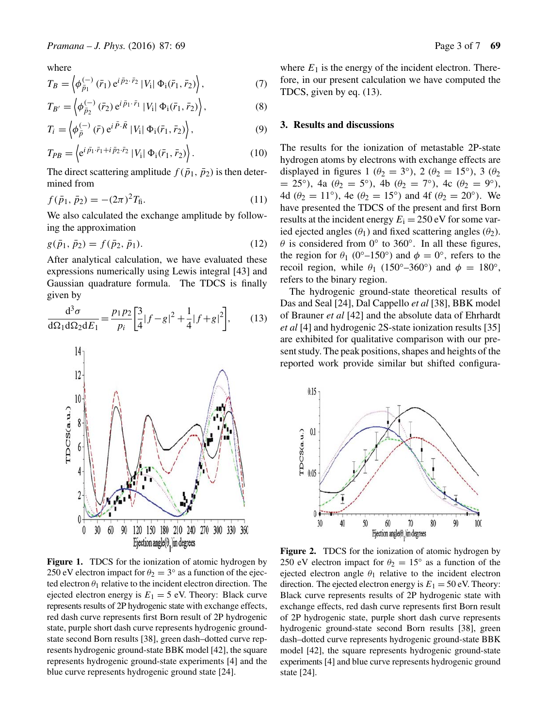where

$$
T_B = \left\langle \phi_{\bar{p}_1}^{(-)} (\bar{r}_1) e^{i \bar{p}_2 \cdot \bar{r}_2} |V_1| \Phi_1(\bar{r}_1, \bar{r}_2) \right\rangle, \tag{7}
$$

$$
T_{B'} = \left\langle \phi_{\bar{p}_2}^{(-)} (\bar{r}_2) e^{i \bar{p}_1 \cdot \bar{r}_1} |V_1| \Phi_1(\bar{r}_1, \bar{r}_2) \right\rangle, \tag{8}
$$

$$
T_i = \left\langle \phi_{\bar{p}}^{(-)}\left(\bar{r}\right) e^{i\bar{P}\cdot\bar{R}} \left|V_{i}\right| \Phi_{i}(\bar{r}_{1},\bar{r}_{2})\right\rangle, \tag{9}
$$

$$
T_{PB} = \left\langle e^{i\,\overline{p}_1 \cdot \overline{r}_1 + i\,\overline{p}_2 \cdot \overline{r}_2} \,|V_1| \,\Phi_1(\overline{r}_1, \overline{r}_2) \right\rangle. \tag{10}
$$

The direct scattering amplitude  $f(\bar{p}_1, \bar{p}_2)$  is then determined from

$$
f(\bar{p}_1, \bar{p}_2) = -(2\pi)^2 T_{\text{fi}}.
$$
\n(11)

We also calculated the exchange amplitude by following the approximation

$$
g(\bar{p}_1, \bar{p}_2) = f(\bar{p}_2, \bar{p}_1).
$$
\n(12)

After analytical calculation, we have evaluated these expressions numerically using Lewis integral [43] and Gaussian quadrature formula. The TDCS is finally given by

$$
\frac{d^3\sigma}{d\Omega_1 d\Omega_2 dE_1} = \frac{p_1 p_2}{p_i} \left[ \frac{3}{4} |f - g|^2 + \frac{1}{4} |f + g|^2 \right],\tag{13}
$$



**Figure 1.** TDCS for the ionization of atomic hydrogen by 250 eV electron impact for  $\theta_2 = 3^\circ$  as a function of the ejected electron  $\theta_1$  relative to the incident electron direction. The ejected electron energy is  $E_1 = 5$  eV. Theory: Black curve represents results of 2P hydrogenic state with exchange effects, red dash curve represents first Born result of 2P hydrogenic state, purple short dash curve represents hydrogenic groundstate second Born results [38], green dash–dotted curve represents hydrogenic ground-state BBK model [42], the square represents hydrogenic ground-state experiments [4] and the blue curve represents hydrogenic ground state [24].

where  $E_1$  is the energy of the incident electron. Therefore, in our present calculation we have computed the TDCS, given by eq. (13).

## **3. Results and discussions**

The results for the ionization of metastable 2P-state hydrogen atoms by electrons with exchange effects are displayed in figures 1 ( $\theta_2 = 3^\circ$ ), 2 ( $\theta_2 = 15^\circ$ ), 3 ( $\theta_2$ )  $= 25^{\circ}$ ), 4a ( $\theta_2 = 5^{\circ}$ ), 4b ( $\theta_2 = 7^{\circ}$ ), 4c ( $\theta_2 = 9^{\circ}$ ), 4d ( $\theta_2 = 11^\circ$ ), 4e ( $\theta_2 = 15^\circ$ ) and 4f ( $\theta_2 = 20^\circ$ ). We have presented the TDCS of the present and first Born results at the incident energy  $E_i = 250$  eV for some varied ejected angles ( $\theta_1$ ) and fixed scattering angles ( $\theta_2$ ).  $\theta$  is considered from 0 $\degree$  to 360 $\degree$ . In all these figures, the region for  $\theta_1$  (0<sup>°</sup>–150<sup>°</sup>) and  $\phi = 0$ <sup>°</sup>, refers to the recoil region, while  $\theta_1$  (150°–360°) and  $\phi = 180^\circ$ , refers to the binary region.

The hydrogenic ground-state theoretical results of Das and Seal [24], Dal Cappello *et al* [38], BBK model of Brauner *et al* [42] and the absolute data of Ehrhardt *et al* [4] and hydrogenic 2S-state ionization results [35] are exhibited for qualitative comparison with our present study. The peak positions, shapes and heights of the reported work provide similar but shifted configura-



**Figure 2.** TDCS for the ionization of atomic hydrogen by 250 eV electron impact for  $\theta_2 = 15^\circ$  as a function of the ejected electron angle  $\theta_1$  relative to the incident electron direction. The ejected electron energy is  $E_1 = 50$  eV. Theory: Black curve represents results of 2P hydrogenic state with exchange effects, red dash curve represents first Born result of 2P hydrogenic state, purple short dash curve represents hydrogenic ground-state second Born results [38], green dash–dotted curve represents hydrogenic ground-state BBK model [42], the square represents hydrogenic ground-state experiments [4] and blue curve represents hydrogenic ground state [24].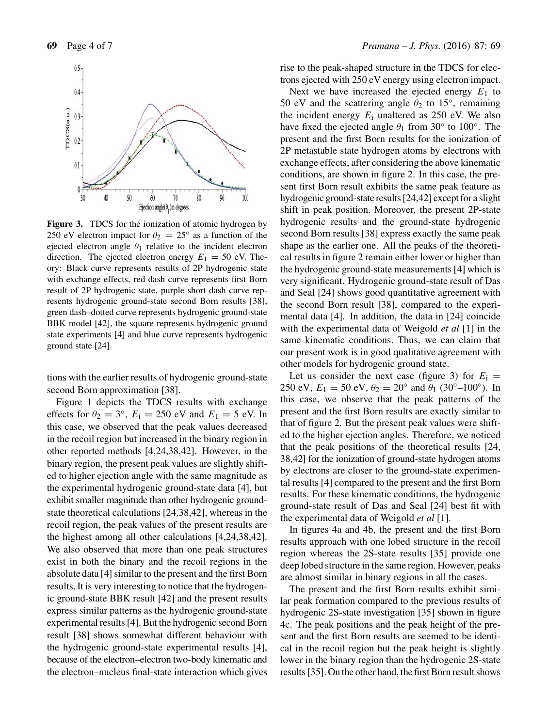

**Figure 3.** TDCS for the ionization of atomic hydrogen by 250 eV electron impact for  $\theta_2 = 25^\circ$  as a function of the ejected electron angle  $\theta_1$  relative to the incident electron direction. The ejected electron energy  $E_1 = 50$  eV. Theory: Black curve represents results of 2P hydrogenic state with exchange effects, red dash curve represents first Born result of 2P hydrogenic state, purple short dash curve represents hydrogenic ground-state second Born results [38], green dash–dotted curve represents hydrogenic ground-state BBK model [42], the square represents hydrogenic ground state experiments [4] and blue curve represents hydrogenic ground state [24].

tions with the earlier results of hydrogenic ground-state second Born approximation [38].

Figure 1 depicts the TDCS results with exchange effects for  $\theta_2 = 3^\circ$ ,  $E_i = 250$  eV and  $E_1 = 5$  eV. In this case, we observed that the peak values decreased in the recoil region but increased in the binary region in other reported methods [4,24,38,42]. However, in the binary region, the present peak values are slightly shifted to higher ejection angle with the same magnitude as the experimental hydrogenic ground-state data [4], but exhibit smaller magnitude than other hydrogenic groundstate theoretical calculations [24,38,42], whereas in the recoil region, the peak values of the present results are the highest among all other calculations [4,24,38,42]. We also observed that more than one peak structures exist in both the binary and the recoil regions in the absolute data [4] similar to the present and the first Born results. It is very interesting to notice that the hydrogenic ground-state BBK result [42] and the present results express similar patterns as the hydrogenic ground-state experimental results [4]. But the hydrogenic second Born result [38] shows somewhat different behaviour with the hydrogenic ground-state experimental results [4], because of the electron–electron two-body kinematic and the electron–nucleus final-state interaction which gives rise to the peak-shaped structure in the TDCS for electrons ejected with 250 eV energy using electron impact.

Next we have increased the ejected energy  $E_1$  to 50 eV and the scattering angle  $\theta_2$  to 15°, remaining the incident energy  $E_i$  unaltered as 250 eV. We also have fixed the ejected angle  $\theta_1$  from 30 $\degree$  to 100 $\degree$ . The present and the first Born results for the ionization of 2P metastable state hydrogen atoms by electrons with exchange effects, after considering the above kinematic conditions, are shown in figure 2. In this case, the present first Born result exhibits the same peak feature as hydrogenic ground-state results [24,42] except for a slight shift in peak position. Moreover, the present 2P-state hydrogenic results and the ground-state hydrogenic second Born results [38] express exactly the same peak shape as the earlier one. All the peaks of the theoretical results in figure 2 remain either lower or higher than the hydrogenic ground-state measurements [4] which is very significant. Hydrogenic ground-state result of Das and Seal [24] shows good quantitative agreement with the second Born result [38], compared to the experimental data [4]. In addition, the data in [24] coincide with the experimental data of Weigold *et al* [1] in the same kinematic conditions. Thus, we can claim that our present work is in good qualitative agreement with other models for hydrogenic ground state.

Let us consider the next case (figure 3) for  $E_i =$ 250 eV,  $E_1 = 50$  eV,  $\theta_2 = 20^\circ$  and  $\theta_1$  (30°–100°). In this case, we observe that the peak patterns of the present and the first Born results are exactly similar to that of figure 2. But the present peak values were shifted to the higher ejection angles. Therefore, we noticed that the peak positions of the theoretical results [24, 38,42] for the ionization of ground-state hydrogen atoms by electrons are closer to the ground-state experimental results [4] compared to the present and the first Born results. For these kinematic conditions, the hydrogenic ground-state result of Das and Seal [24] best fit with the experimental data of Weigold *et al* [1].

In figures 4a and 4b, the present and the first Born results approach with one lobed structure in the recoil region whereas the 2S-state results [35] provide one deep lobed structure in the same region. However, peaks are almost similar in binary regions in all the cases.

The present and the first Born results exhibit similar peak formation compared to the previous results of hydrogenic 2S-state investigation [35] shown in figure 4c. The peak positions and the peak height of the present and the first Born results are seemed to be identical in the recoil region but the peak height is slightly lower in the binary region than the hydrogenic 2S-state results [35]. On the other hand, the first Born result shows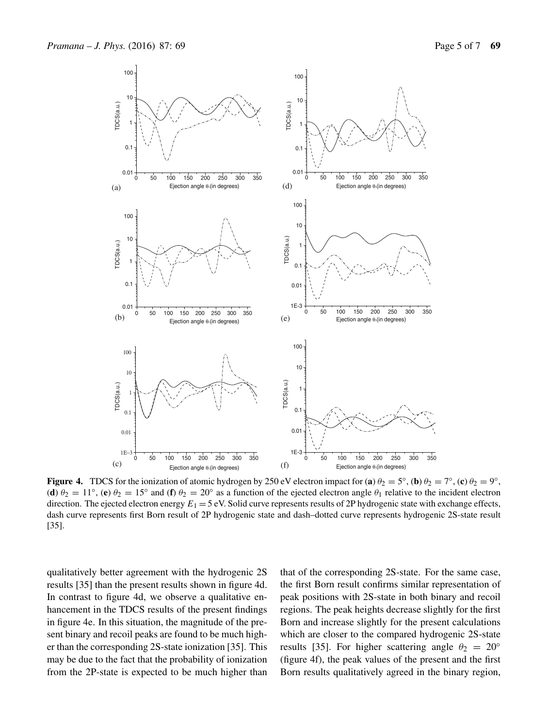

**Figure 4.** TDCS for the ionization of atomic hydrogen by 250 eV electron impact for (**a**)  $\theta_2 = 5^\circ$ , (**b**)  $\theta_2 = 7^\circ$ , (**c**)  $\theta_2 = 9^\circ$ , (**d**)  $\theta_2 = 11^\circ$ , (**e**)  $\theta_2 = 15^\circ$  and (**f**)  $\theta_2 = 20^\circ$  as a function of the ejected electron angle  $\theta_1$  relative to the incident electron direction. The ejected electron energy  $E_1 = 5$  eV. Solid curve represents results of 2P hydrogenic state with exchange effects, dash curve represents first Born result of 2P hydrogenic state and dash–dotted curve represents hydrogenic 2S-state result [35].

qualitatively better agreement with the hydrogenic 2S results [35] than the present results shown in figure 4d. In contrast to figure 4d, we observe a qualitative enhancement in the TDCS results of the present findings in figure 4e. In this situation, the magnitude of the present binary and recoil peaks are found to be much higher than the corresponding 2S-state ionization [35]. This may be due to the fact that the probability of ionization from the 2P-state is expected to be much higher than that of the corresponding 2S-state. For the same case, the first Born result confirms similar representation of peak positions with 2S-state in both binary and recoil regions. The peak heights decrease slightly for the first Born and increase slightly for the present calculations which are closer to the compared hydrogenic 2S-state results [35]. For higher scattering angle  $\theta_2 = 20^\circ$ (figure 4f), the peak values of the present and the first Born results qualitatively agreed in the binary region,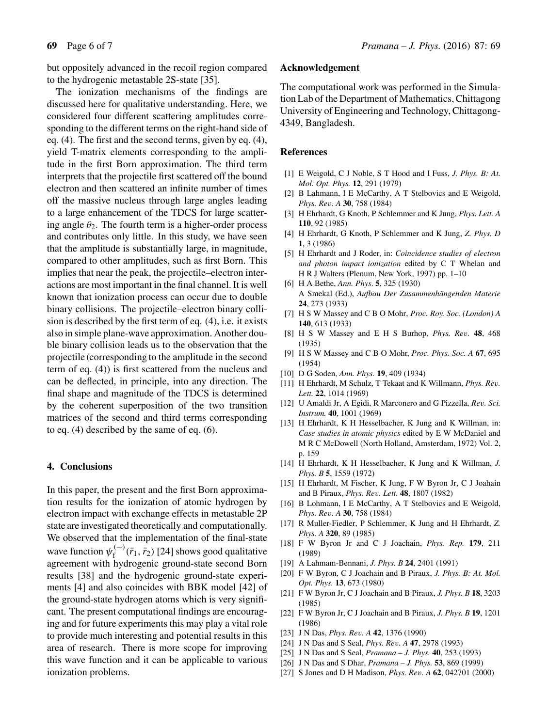but oppositely advanced in the recoil region compared to the hydrogenic metastable 2S-state [35].

The ionization mechanisms of the findings are discussed here for qualitative understanding. Here, we considered four different scattering amplitudes corresponding to the different terms on the right-hand side of eq. (4). The first and the second terms, given by eq. (4), yield T-matrix elements corresponding to the amplitude in the first Born approximation. The third term interprets that the projectile first scattered off the bound electron and then scattered an infinite number of times off the massive nucleus through large angles leading to a large enhancement of the TDCS for large scattering angle  $\theta_2$ . The fourth term is a higher-order process and contributes only little. In this study, we have seen that the amplitude is substantially large, in magnitude, compared to other amplitudes, such as first Born. This implies that near the peak, the projectile–electron interactions are most important in the final channel. It is well known that ionization process can occur due to double binary collisions. The projectile–electron binary collision is described by the first term of eq. (4), i.e. it exists also in simple plane-wave approximation. Another double binary collision leads us to the observation that the projectile (corresponding to the amplitude in the second term of eq. (4)) is first scattered from the nucleus and can be deflected, in principle, into any direction. The final shape and magnitude of the TDCS is determined by the coherent superposition of the two transition matrices of the second and third terms corresponding to eq. (4) described by the same of eq. (6).

## **4. Conclusions**

In this paper, the present and the first Born approximation results for the ionization of atomic hydrogen by electron impact with exchange effects in metastable 2P state are investigated theoretically and computationally. We observed that the implementation of the final-state wave function  $\psi_f^{(-)}(\bar{r}_1, \bar{r}_2)$  [24] shows good qualitative<br>agreement with hydrogenic ground-state second Born agreement with hydrogenic ground-state second Born results [38] and the hydrogenic ground-state experiments [4] and also coincides with BBK model [42] of the ground-state hydrogen atoms which is very significant. The present computational findings are encouraging and for future experiments this may play a vital role to provide much interesting and potential results in this area of research. There is more scope for improving this wave function and it can be applicable to various ionization problems.

#### **Acknowledgement**

The computational work was performed in the Simulation Lab of the Department of Mathematics, Chittagong University of Engineering and Technology, Chittagong-4349, Bangladesh.

#### **References**

- [1] E Weigold, C J Noble, S T Hood and I Fuss, *J. Phys. B: At. Mol. Opt. Phys.* **12**, 291 (1979)
- [2] B Lahmann, I E McCarthy, A T Stelbovics and E Weigold, *Phys. Re*v*. A* **<sup>30</sup>**, 758 (1984)
- [3] H Ehrhardt, G Knoth, P Schlemmer and K Jung, *Phys. Lett. A* **110**, 92 (1985)
- [4] H Ehrhardt, G Knoth, P Schlemmer and K Jung, *Z. Phys. D* **1**, 3 (1986)
- [5] H Ehrhardt and J Roder, in: *Coincidence studies of electron and photon impact ionization* edited by C T Whelan and H R J Walters (Plenum, New York, 1997) pp. 1–10
- [6] H A Bethe, *Ann. Phys*. **5**, 325 (1930) A Smekal (Ed.), *Aufbau Der Zusammenhängenden Materie* **24**, 273 (1933)
- [7] H S W Massey and C B O Mohr, *Proc. Roy. Soc. (London) A* **140**, 613 (1933)
- [8] H S W Massey and E H S Burhop, *Phys. Re*v*.* **<sup>48</sup>**, 468 (1935)
- [9] H S W Massey and C B O Mohr, *Proc. Phys. Soc. A* **67**, 695 (1954)
- [10] D G Soden, *Ann. Phys.* **19**, 409 (1934)
- [11] H Ehrhardt, M Schulz, T Tekaat and K Willmann, *Phys. Re*v*. Lett.* **22**, 1014 (1969)
- [12] U Amaldi Jr, A Egidi, R Marconero and G Pizzella, *Re*v*. Sci. Instrum.* **40**, 1001 (1969)
- [13] H Ehrhardt, K H Hesselbacher, K Jung and K Willman, in: *Case studies in atomic physics* edited by E W McDaniel and M R C McDowell (North Holland, Amsterdam, 1972) Vol. 2, p. 159
- [14] H Ehrhardt, K H Hesselbacher, K Jung and K Willman, *J. Phys. B* **5**, 1559 (1972)
- [15] H Ehrhardt, M Fischer, K Jung, F W Byron Jr, C J Joahain and B Piraux, *Phys. Re*v*. Lett.* **<sup>48</sup>**, 1807 (1982)
- [16] B Lohmann, I E McCarthy, A T Stelbovics and E Weigold, *Phys. Re*v*. A* **<sup>30</sup>**, 758 (1984)
- [17] R Muller-Fiedler, P Schlemmer, K Jung and H Ehrhardt, *Z. Phys. A* **320**, 89 (1985)
- [18] F W Byron Jr and C J Joachain, *Phys. Rep.* **179**, 211 (1989)
- [19] A Lahmam-Bennani, *J. Phys. B* **24**, 2401 (1991)
- [20] F W Byron, C J Joachain and B Piraux, *J. Phys. B: At. Mol. Opt. Phys.* **13**, 673 (1980)
- [21] F W Byron Jr, C J Joachain and B Piraux, *J. Phys. B* **18**, 3203 (1985)
- [22] F W Byron Jr, C J Joachain and B Piraux, *J. Phys. B* **19**, 1201 (1986)
- [23] J N Das, *Phys. Re*v*. A* **<sup>42</sup>**, 1376 (1990)
- [24] J N Das and S Seal, *Phys. Re*v*. A* **<sup>47</sup>**, 2978 (1993)
- [25] J N Das and S Seal, *Pramana J. Phys.* **40**, 253 (1993)
- [26] J N Das and S Dhar, *Pramana J. Phys.* **53**, 869 (1999)
- [27] S Jones and D H Madison, *Phys. Re*v*. A* **<sup>62</sup>**, 042701 (2000)